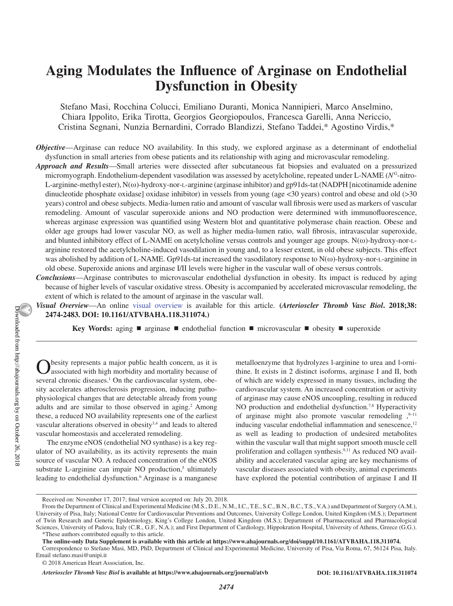# **Aging Modulates the Influence of Arginase on Endothelial Dysfunction in Obesity**

Stefano Masi, Rocchina Colucci, Emiliano Duranti, Monica Nannipieri, Marco Anselmino, Chiara Ippolito, Erika Tirotta, Georgios Georgiopoulos, Francesca Garelli, Anna Nericcio, Cristina Segnani, Nunzia Bernardini, Corrado Blandizzi, Stefano Taddei,\* Agostino Virdis,\*

- *Objective*—Arginase can reduce NO availability. In this study, we explored arginase as a determinant of endothelial dysfunction in small arteries from obese patients and its relationship with aging and microvascular remodeling.
- *Approach and Results*—Small arteries were dissected after subcutaneous fat biopsies and evaluated on a pressurized micromyograph. Endothelium-dependent vasodilation was assessed by acetylcholine, repeated under L-NAME (*N*<sup>G</sup>-nitro-L-arginine-methyl ester), N(ω)-hydroxy-nor-l-arginine (arginase inhibitor) and gp91ds-tat (NADPH [nicotinamide adenine dinucleotide phosphate oxidase] oxidase inhibitor) in vessels from young (age <30 years) control and obese and old (>30 years) control and obese subjects. Media-lumen ratio and amount of vascular wall fibrosis were used as markers of vascular remodeling. Amount of vascular superoxide anions and NO production were determined with immunofluorescence, whereas arginase expression was quantified using Western blot and quantitative polymerase chain reaction. Obese and older age groups had lower vascular NO, as well as higher media-lumen ratio, wall fibrosis, intravascular superoxide, and blunted inhibitory effect of L-NAME on acetylcholine versus controls and younger age groups. N(ω)-hydroxy-nor-larginine restored the acetylcholine-induced vasodilation in young and, to a lesser extent, in old obese subjects. This effect was abolished by addition of L-NAME. Gp91ds-tat increased the vasodilatory response to N(ω)-hydroxy-nor-l-arginine in old obese. Superoxide anions and arginase I/II levels were higher in the vascular wall of obese versus controls.
- *Conclusions*—Arginase contributes to microvascular endothelial dysfunction in obesity. Its impact is reduced by aging because of higher levels of vascular oxidative stress. Obesity is accompanied by accelerated microvascular remodeling, the extent of which is related to the amount of arginase in the vascular wall.
- *Visual Overview*—An online visual overview is available for this article. **(***Arterioscler Thromb Vasc Biol***. 2018;38: 2474-2483. DOI: 10.1161/ATVBAHA.118.311074.)**

**Key Words:** aging ■ arginase ■ endothelial function ■ microvascular ■ obesity ■ superoxide

besity represents a major public health concern, as it is associated with high morbidity and mortality because of several chronic diseases.<sup>1</sup> On the cardiovascular system, obesity accelerates atherosclerosis progression, inducing pathophysiological changes that are detectable already from young adults and are similar to those observed in aging.<sup>2</sup> Among these, a reduced NO availability represents one of the earliest vascular alterations observed in obesity<sup>3,4</sup> and leads to altered vascular homeostasis and accelerated remodeling.

The enzyme eNOS (endothelial NO synthase) is a key regulator of NO availability, as its activity represents the main source of vascular NO. A reduced concentration of the eNOS substrate L-arginine can impair NO production, $5$  ultimately leading to endothelial dysfunction.<sup>6</sup> Arginase is a manganese metalloenzyme that hydrolyzes l-arginine to urea and l-ornithine. It exists in 2 distinct isoforms, arginase I and II, both of which are widely expressed in many tissues, including the cardiovascular system. An increased concentration or activity of arginase may cause eNOS uncoupling, resulting in reduced NO production and endothelial dysfunction.<sup>7,8</sup> Hyperactivity of arginase might also promote vascular remodeling  $, ^{9-11}$ inducing vascular endothelial inflammation and senescence, $12$ as well as leading to production of undesired metabolites within the vascular wall that might support smooth muscle cell proliferation and collagen synthesis.<sup>9,11</sup> As reduced NO availability and accelerated vascular aging are key mechanisms of vascular diseases associated with obesity, animal experiments have explored the potential contribution of arginase I and II

Received on: November 17, 2017; final version accepted on: July 20, 2018.

From the Department of Clinical and Experimental Medicine (M.S., D.E., N.M., I.C., T.E., S.C., B.N., B.C., T.S., V.A.) and Department of Surgery (A.M.), University of Pisa, Italy; National Centre for Cardiovascular Preventions and Outcomes, University College London, United Kingdom (M.S.); Department of Twin Research and Genetic Epidemiology, King's College London, United Kingdom (M.S.); Department of Pharmaceutical and Pharmacological Sciences, University of Padova, Italy (C.R., G.F., N.A.); and First Department of Cardiology, Hippokration Hospital, University of Athens, Greece (G.G.). \*These authors contributed equally to this article.

**The online-only Data Supplement is available with this article at https://www.ahajournals.org/doi/suppl/10.1161/ATVBAHA.118.311074.**

Correspondence to Stefano Masi, MD, PhD, Department of Clinical and Experimental Medicine, University of Pisa, Via Roma, 67, 56124 Pisa, Italy. Email [stefano.masi@unipi.it](mailto:stefano.masi@unipi.it)

<sup>© 2018</sup> American Heart Association, Inc.

*Arterioscler Thromb Vasc Biol* **is available at https://www.ahajournals.org/journal/atvb DOI: 10.1161/ATVBAHA.118.311074**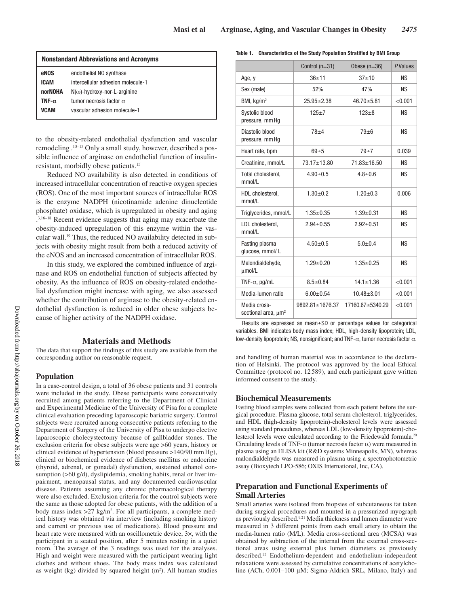| <b>Nonstandard Abbreviations and Acronyms</b> |                                     |  |  |
|-----------------------------------------------|-------------------------------------|--|--|
| eNOS                                          | endothelial NO synthase             |  |  |
| <b>ICAM</b>                                   | intercellular adhesion molecule-1   |  |  |
| norNOHA                                       | $N(\omega)$ -hydroxy-nor-L-arginine |  |  |
| TNF- $\alpha$                                 | tumor necrosis factor $\alpha$      |  |  |
| VCAM                                          | vascular adhesion molecule-1        |  |  |
|                                               |                                     |  |  |

to the obesity-related endothelial dysfunction and vascular remodeling .13–15 Only a small study, however, described a possible influence of arginase on endothelial function of insulinresistant, morbidly obese patients.15

Reduced NO availability is also detected in conditions of increased intracellular concentration of reactive oxygen species (ROS). One of the most important sources of intracellular ROS is the enzyme NADPH (nicotinamide adenine dinucleotide phosphate) oxidase, which is upregulated in obesity and aging . 3,16–18 Recent evidence suggests that aging may exacerbate the obesity-induced upregulation of this enzyme within the vascular wall.19 Thus, the reduced NO availability detected in subjects with obesity might result from both a reduced activity of the eNOS and an increased concentration of intracellular ROS.

In this study, we explored the combined influence of arginase and ROS on endothelial function of subjects affected by obesity. As the influence of ROS on obesity-related endothelial dysfunction might increase with aging, we also assessed whether the contribution of arginase to the obesity-related endothelial dysfunction is reduced in older obese subjects because of higher activity of the NADPH oxidase.

## **Materials and Methods**

The data that support the findings of this study are available from the corresponding author on reasonable request.

## **Population**

In a case-control design, a total of 36 obese patients and 31 controls were included in the study. Obese participants were consecutively recruited among patients referring to the Department of Clinical and Experimental Medicine of the University of Pisa for a complete clinical evaluation preceding laparoscopic bariatric surgery. Control subjects were recruited among consecutive patients referring to the Department of Surgery of the University of Pisa to undergo elective laparoscopic cholecystectomy because of gallbladder stones. The exclusion criteria for obese subjects were age >60 years, history or clinical evidence of hypertension (blood pressure >140/90 mm Hg), clinical or biochemical evidence of diabetes mellitus or endocrine (thyroid, adrenal, or gonadal) dysfunction, sustained ethanol consumption (>60 g/d), dyslipidemia, smoking habits, renal or liver impairment, menopausal status, and any documented cardiovascular disease. Patients assuming any chronic pharmacological therapy were also excluded. Exclusion criteria for the control subjects were the same as those adopted for obese patients, with the addition of a body mass index >27 kg/m2 . For all participants, a complete medical history was obtained via interview (including smoking history and current or previous use of medications). Blood pressure and heart rate were measured with an oscillometric device, 3×, with the participant in a seated position, after 5 minutes resting in a quiet room. The average of the 3 readings was used for the analyses. High and weight were measured with the participant wearing light clothes and without shoes. The body mass index was calculated as weight  $(kg)$  divided by squared height  $(m<sup>2</sup>)$ . All human studies

#### **Table 1. Characteristics of the Study Population Stratified by BMI Group**

|                                                 | Control $(n=31)$       | Obese $(n=36)$    | <b>PValues</b> |
|-------------------------------------------------|------------------------|-------------------|----------------|
| Age, y                                          | $36 + 11$              | $37 + 10$         | <b>NS</b>      |
| Sex (male)                                      | 52%                    | 47%               | <b>NS</b>      |
| BMI, kg/m <sup>2</sup>                          | $25.95 \pm 2.38$       | $46.70 + 5.81$    | < 0.001        |
| Systolic blood<br>pressure, mm Hg               | $125 + 7$<br>$123 + 8$ |                   | <b>NS</b>      |
| Diastolic blood<br>pressure, mm Hq              | $78 + 4$               | $79 + 6$          | <b>NS</b>      |
| Heart rate, bpm                                 | $69 + 5$               | $79+7$            | 0.039          |
| Creatinine, mmol/L                              | 73.17±13.80            | $71.83 \pm 16.50$ | <b>NS</b>      |
| Total cholesterol,<br>mmol/l                    | $4.90 \pm 0.5$         | $4.8 + 0.6$       | <b>NS</b>      |
| HDL cholesterol,<br>mmol/L                      | $1.30 + 0.2$           | $1.20 + 0.3$      | 0.006          |
| Triglycerides, mmol/L                           | $1.35 \pm 0.35$        | $1.39 + 0.31$     | <b>NS</b>      |
| LDL cholesterol,<br>mmol/L                      | $2.94 \pm 0.55$        | $2.92 \pm 0.51$   | <b>NS</b>      |
| Fasting plasma<br>glucose, mmol/L               | $4.50+0.5$             | $5.0 + 0.4$       | <b>NS</b>      |
| Malondialdehyde,<br>umol/L                      | $1.29 \pm 0.20$        | $1.35 \pm 0.25$   | <b>NS</b>      |
| TNF- $\alpha$ , pg/mL                           | $8.5 \pm 0.84$         | $14.1 \pm 1.36$   | < 0.001        |
| Media-lumen ratio                               | $6.00 \pm 0.54$        | $10.48 + 3.01$    | < 0.001        |
| Media cross-<br>sectional area, um <sup>2</sup> | $9892.81 \pm 1676.37$  | 17160.67±5340.29  | < 0.001        |

Results are expressed as mean±SD or percentage values for categorical variables. BMI indicates body mass index; HDL, high-density lipoprotein; LDL, low-density lipoprotein; NS, nonsignificant; and TNF- $\alpha$ , tumor necrosis factor  $\alpha$ .

and handling of human material was in accordance to the declaration of Helsinki. The protocol was approved by the local Ethical Committee (protocol no. 12 589), and each participant gave written informed consent to the study.

#### **Biochemical Measurements**

Fasting blood samples were collected from each patient before the surgical procedure. Plasma glucose, total serum cholesterol, triglycerides, and HDL (high-density lipoprotein)-cholesterol levels were assessed using standard procedures, whereas LDL (low-density lipoprotein)-cholesterol levels were calculated according to the Friedewald formula.<sup>20</sup> Circulating levels of TNF- $\alpha$  (tumor necrosis factor  $\alpha$ ) were measured in plasma using an ELISA kit (R&D systems Minneapolis, MN), whereas malondialdehyde was measured in plasma using a spectrophotometric assay (Bioxytech LPO-586; OXIS International, Inc, CA).

# **Preparation and Functional Experiments of Small Arteries**

Small arteries were isolated from biopsies of subcutaneous fat taken during surgical procedures and mounted in a pressurized myograph as previously described.9,21 Media thickness and lumen diameter were measured in 3 different points from each small artery to obtain the media-lumen ratio (M/L). Media cross-sectional area (MCSA) was obtained by subtraction of the internal from the external cross-sectional areas using external plus lumen diameters as previously described.22 Endothelium-dependent and endothelium-independent relaxations were assessed by cumulative concentrations of acetylcholine (ACh, 0.001–100 μM; Sigma-Aldrich SRL, Milano, Italy) and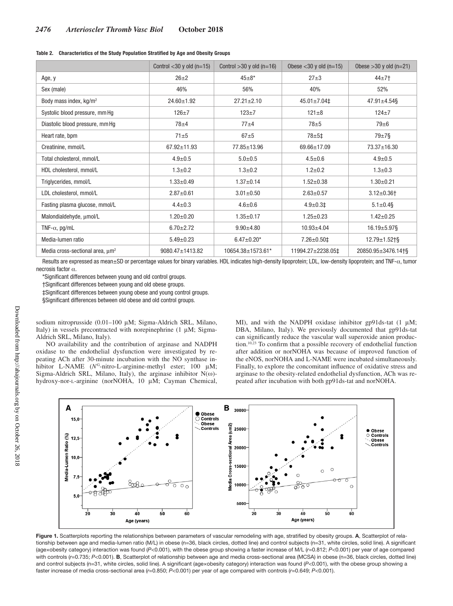|  |  |  |  | Table 2. Characteristics of the Study Population Stratified by Age and Obesity Groups |
|--|--|--|--|---------------------------------------------------------------------------------------|
|--|--|--|--|---------------------------------------------------------------------------------------|

|                                             | Control $<$ 30 y old (n=15) | Control $>30$ y old (n=16) | Obese $<$ 30 y old (n=15) | Obese $>30$ y old (n=21)     |
|---------------------------------------------|-----------------------------|----------------------------|---------------------------|------------------------------|
| Age, y                                      | $26+2$                      | $45+8*$                    | $27 + 3$                  | $44+7$                       |
| Sex (male)                                  | 46%                         | 56%                        | 40%                       | 52%                          |
| Body mass index, kg/m <sup>2</sup>          | $24.60 \pm 1.92$            | $27.21 \pm 2.10$           | $45.01 \pm 7.04 \pm$      | $47.91 \pm 4.54$ §           |
| Systolic blood pressure, mm Hg              | $126 + 7$                   | $123+7$                    | $121 \pm 8$               | $124 + 7$                    |
| Diastolic blood pressure, mm Hg             | $78 + 4$                    | $77 + 4$                   | $78 + 5$                  | $79 + 6$                     |
| Heart rate, bpm                             | $71\pm5$                    | $67 + 5$                   | $78 + 51$                 | $79\pm7\$                    |
| Creatinine, mmol/L                          | $67.92 \pm 11.93$           | 77.85±13.96                | 69.66±17.09               | 73.37±16.30                  |
| Total cholesterol, mmol/L                   | $4.9 \pm 0.5$               | $5.0 + 0.5$                | $4.5 \pm 0.6$             | $4.9 \pm 0.5$                |
| HDL cholesterol, mmol/L                     | $1.3 \pm 0.2$               | $1.3 + 0.2$                | $1.2 + 0.2$               | $1.3 + 0.3$                  |
| Triglycerides, mmol/L                       | $1.33 \pm 0.49$             | $1.37 \pm 0.14$            | $1.52 \pm 0.38$           | $1.30 \pm 0.21$              |
| LDL cholesterol, mmol/L                     | $2.87 \pm 0.61$             | $3.01 \pm 0.50$            | $2.63 \pm 0.57$           | $3.12 \pm 0.36$ <sup>+</sup> |
| Fasting plasma glucose, mmol/L              | $4.4 \pm 0.3$               | $4.6 \pm 0.6$              | $4.9 \pm 0.3$ ‡           | $5.1 \pm 0.4$ §              |
| Malondialdehyde, umol/L                     | $1.20 \pm 0.20$             | $1.35 + 0.17$              | $1.25 \pm 0.23$           | $1.42 \pm 0.25$              |
| TNF- $\alpha$ , pg/mL                       | $6.70 \pm 2.72$             | $9.90 \pm 4.80$            | $10.93 + 4.04$            | $16.19 \pm 5.97$ §           |
| Media-lumen ratio                           | $5.49 \pm 0.23$             | $6.47 \pm 0.20*$           | $7.26 \pm 0.50 \ddagger$  | $12.79 \pm 1.52 \pm 8$       |
| Media cross-sectional area, um <sup>2</sup> | 9080.47±1413.82             | 10654.38±1573.61*          | 11994.27±2238.05‡         | 20850.95±3476.14†§           |

Results are expressed as mean±SD or percentage values for binary variables. HDL indicates high-density lipoprotein; LDL, low-density lipoprotein; and TNF-α, tumor necrosis factor α.

\*Significant differences between young and old control groups.

†Significant differences between young and old obese groups.

‡Significant differences between young obese and young control groups.

§Significant differences between old obese and old control groups.

sodium nitroprusside (0.01–100 μM; Sigma-Aldrich SRL, Milano, Italy) in vessels precontracted with norepinephrine (1 μM; Sigma-Aldrich SRL, Milano, Italy).

NO availability and the contribution of arginase and NADPH oxidase to the endothelial dysfunction were investigated by repeating ACh after 30-minute incubation with the NO synthase inhibitor L-NAME (N<sup>G</sup>-nitro-L-arginine-methyl ester; 100 μM; Sigma-Aldrich SRL, Milano, Italy), the arginase inhibitor  $N(\omega)$ hydroxy-nor-l-arginine (norNOHA, 10 μM; Cayman Chemical, MI), and with the NADPH oxidase inhibitor gp91ds-tat (1 μM; DBA, Milano, Italy). We previously documented that gp91ds-tat can significantly reduce the vascular wall superoxide anion production.10,23 To confirm that a possible recovery of endothelial function after addition or norNOHA was because of improved function of the eNOS, norNOHA and L-NAME were incubated simultaneously. Finally, to explore the concomitant influence of oxidative stress and arginase to the obesity-related endothelial dysfunction, ACh was repeated after incubation with both gp91ds-tat and norNOHA.



**Figure 1.** Scatterplots reporting the relationships between parameters of vascular remodeling with age, stratified by obesity groups. **A**, Scatterplot of relationship between age and media-lumen ratio (M/L) in obese (n=36, black circles, dotted line) and control subjects (n=31, white circles, solid line). A significant (age×obesity category) interaction was found (*P*<0.001), with the obese group showing a faster increase of M/L (*r*=0.812; *P*<0.001) per year of age compared with controls (r=0.735; P<0.001). **B**, Scatterplot of relationship between age and media cross-sectional area (MCSA) in obese (n=36, black circles, dotted line) and control subjects (n=31, white circles, solid line). A significant (age×obesity category) interaction was found (*P<*0.001), with the obese group showing a faster increase of media cross-sectional area (*r*=0.850; *P*<0.001) per year of age compared with controls (*r*=0.649; *P*<0.001).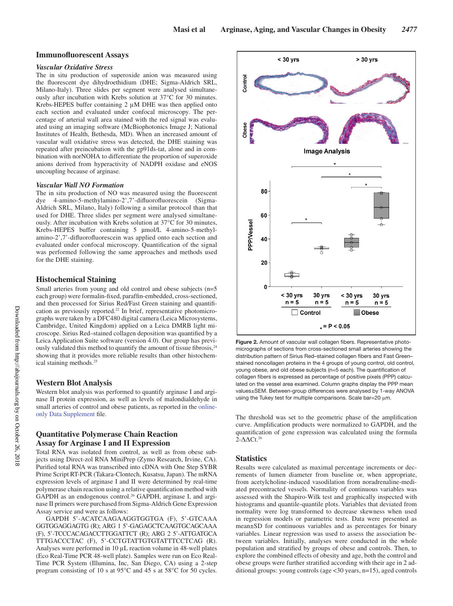## **Immunofluorescent Assays**

#### *Vascular Oxidative Stress*

The in situ production of superoxide anion was measured using the fluorescent dye dihydroethidium (DHE; Sigma-Aldrich SRL, Milano-Italy). Three slides per segment were analysed simultaneously after incubation with Krebs solution at 37°C for 30 minutes. Krebs-HEPES buffer containing 2 μM DHE was then applied onto each section and evaluated under confocal microscopy. The percentage of arterial wall area stained with the red signal was evaluated using an imaging software (McBiophotonics Image J; National Institutes of Health, Bethesda, MD). When an increased amount of vascular wall oxidative stress was detected, the DHE staining was repeated after preincubation with the gp91ds-tat, alone and in combination with norNOHA to differentiate the proportion of superoxide anions derived from hyperactivity of NADPH oxidase and eNOS uncoupling because of arginase.

#### *Vascular Wall NO Formation*

The in situ production of NO was measured using the fluorescent dye 4-amino-5-methylamino-2',7'-difluorofluorescein (Sigma-Aldrich SRL, Milano, Italy) following a similar protocol than that used for DHE. Three slides per segment were analysed simultaneously. After incubation with Krebs solution at 37°C for 30 minutes, Krebs-HEPES buffer containing 5 µmol/L 4-amino-5-methylamino-2',7'-difluorofluorescein was applied onto each section and evaluated under confocal microscopy. Quantification of the signal was performed following the same approaches and methods used for the DHE staining.

## **Histochemical Staining**

Small arteries from young and old control and obese subjects (n=5 each group) were formalin-fixed, paraffin-embedded, cross-sectioned, and then processed for Sirius Red/Fast Green staining and quantification as previously reported.<sup>22</sup> In brief, representative photomicrographs were taken by a DFC480 digital camera (Leica Microsystems, Cambridge, United Kingdom) applied on a Leica DMRB light microscope. Sirius Red–stained collagen deposition was quantified by a Leica Application Suite software (version 4.0). Our group has previously validated this method to quantify the amount of tissue fibrosis,<sup>24</sup> showing that it provides more reliable results than other histochemical staining methods.25

#### **Western Blot Analysis**

Western blot analysis was performed to quantify arginase I and arginase II protein expression, as well as levels of malondialdehyde in small arteries of control and obese patients, as reported in the onlineonly Data Supplement file.

# **Quantitative Polymerase Chain Reaction Assay for Arginase I and II Expression**

Total RNA was isolated from control, as well as from obese subjects using Direct-zol RNA MiniPrep (Zymo Research, Irvine, CA). Purified total RNA was transcribed into cDNA with One Step SYBR Prime Script RT-PCR (Takara-Clontech, Kusatsu, Japan). The mRNA expression levels of arginase I and II were determined by real-time polymerase chain reaction using a relative quantification method with GAPDH as an endogenous control.<sup>26</sup> GAPDH, arginase I, and arginase II primers were purchased from Sigma-Aldrich Gene Expression Assay service and were as follows:

GAPDH 5'-ACATCAAGAAGGTGGTGA (F), 5'-GTCAAA GGTGGAGGAGTG (R); ARG 1 5'-GAGAGCTCAAGTGCAGCAAA (F), 5'-TCCCACAGACCTTGGATTCT (R); ARG 2 5'-ATTGATGCA TTTGACCCTAC (F), 5'-CCTGTATTGTGTATTTCCTCAG (R). Analyses were performed in 10 μL reaction volume in 48-well plates (Eco Real-Time PCR 48-well plate). Samples were run on Eco Real-Time PCR System (Illumina, Inc, San Diego, CA) using a 2-step program consisting of 10 s at 95°C and 45 s at 58°C for 50 cycles.



**Figure 2.** Amount of vascular wall collagen fibers. Representative photomicrographs of sections from cross-sectioned small arteries showing the distribution pattern of Sirius Red–stained collagen fibers and Fast Green– stained noncollagen proteins in the 4 groups of young control, old control, young obese, and old obese subjects (n=5 each). The quantification of collagen fibers is expressed as percentage of positive pixels (PPP) calculated on the vessel area examined. Column graphs display the PPP mean values±SEM. Between-group differences were analysed by 1-way ANOVA using the Tukey test for multiple comparisons. Scale bar=20 μm.

The threshold was set to the geometric phase of the amplification curve. Amplification products were normalized to GAPDH, and the quantification of gene expression was calculated using the formula 2-ΔΔCt.26

#### **Statistics**

Results were calculated as maximal percentage increments or decrements of lumen diameter from baseline or, when appropriate, from acetylcholine-induced vasodilation from noradrenaline-mediated precontracted vessels. Normality of continuous variables was assessed with the Shapiro-Wilk test and graphically inspected with histograms and quantile-quantile plots. Variables that deviated from normality were log transformed to decrease skewness when used in regression models or parametric tests. Data were presented as mean±SD for continuous variables and as percentages for binary variables. Linear regression was used to assess the association between variables. Initially, analyses were conducted in the whole population and stratified by groups of obese and controls. Then, to explore the combined effects of obesity and age, both the control and obese groups were further stratified according with their age in 2 additional groups: young controls (age <30 years, n=15), aged controls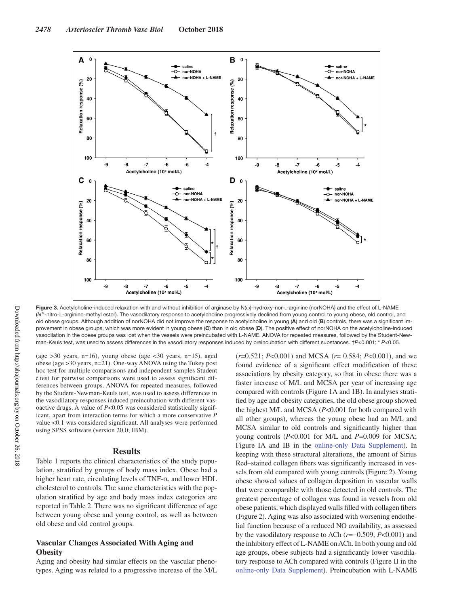

**Figure 3.** Acetylcholine-induced relaxation with and without inhibition of arginase by N(ω)-hydroxy-nor-l-arginine (norNOHA) and the effect of L-NAME (N<sup>G</sup>-nitro-L-arginine-methyl ester). The vasodilatory response to acetylcholine progressively declined from young control to young obese, old control, and old obese groups. Although addition of norNOHA did not improve the response to acetylcholine in young (**A**) and old (**B**) controls, there was a significant improvement in obese groups, which was more evident in young obese (**C**) than in old obese (**D**). The positive effect of norNOHA on the acetylcholine-induced vasodilation in the obese groups was lost when the vessels were preincubated with L-NAME. ANOVA for repeated measures, followed by the Student-Newman-Keuls test, was used to assess differences in the vasodilatory responses induced by preincubation with different substances. †*P*<0.001; \* *P*<0.05.

(age >30 years, n=16), young obese (age <30 years, n=15), aged obese (age >30 years, n=21). One-way ANOVA using the Tukey post hoc test for multiple comparisons and independent samples Student *t* test for pairwise comparisons were used to assess significant differences between groups. ANOVA for repeated measures, followed by the Student-Newman-Keuls test, was used to assess differences in the vasodilatory responses induced preincubation with different vasoactive drugs. A value of *P*<0.05 was considered statistically significant, apart from interaction terms for which a more conservative *P* value <0.1 was considered significant. All analyses were performed using SPSS software (version 20.0; IBM).

#### **Results**

Table 1 reports the clinical characteristics of the study population, stratified by groups of body mass index. Obese had a higher heart rate, circulating levels of TNF- $\alpha$ , and lower HDL cholesterol to controls. The same characteristics with the population stratified by age and body mass index categories are reported in Table 2. There was no significant difference of age between young obese and young control, as well as between old obese and old control groups.

# **Vascular Changes Associated With Aging and Obesity**

Aging and obesity had similar effects on the vascular phenotypes. Aging was related to a progressive increase of the M/L (*r*=0.521; *P*<0.001) and MCSA (*r*= 0.584; *P*<0.001), and we found evidence of a significant effect modification of these associations by obesity category, so that in obese there was a faster increase of M/L and MCSA per year of increasing age compared with controls (Figure 1A and 1B). In analyses stratified by age and obesity categories, the old obese group showed the highest M/L and MCSA (*P*<0.001 for both compared with all other groups), whereas the young obese had an M/L and MCSA similar to old controls and significantly higher than young controls (*P*<0.001 for M/L and *P*=0.009 for MCSA; Figure IA and IB in the online-only Data Supplement). In keeping with these structural alterations, the amount of Sirius Red–stained collagen fibers was significantly increased in vessels from old compared with young controls (Figure 2). Young obese showed values of collagen deposition in vascular walls that were comparable with those detected in old controls. The greatest percentage of collagen was found in vessels from old obese patients, which displayed walls filled with collagen fibers (Figure 2). Aging was also associated with worsening endothelial function because of a reduced NO availability, as assessed by the vasodilatory response to ACh (*r*=−0.509, *P*<0.001) and the inhibitory effect of L-NAME on ACh. In both young and old age groups, obese subjects had a significantly lower vasodilatory response to ACh compared with controls (Figure II in the online-only Data Supplement). Preincubation with L-NAME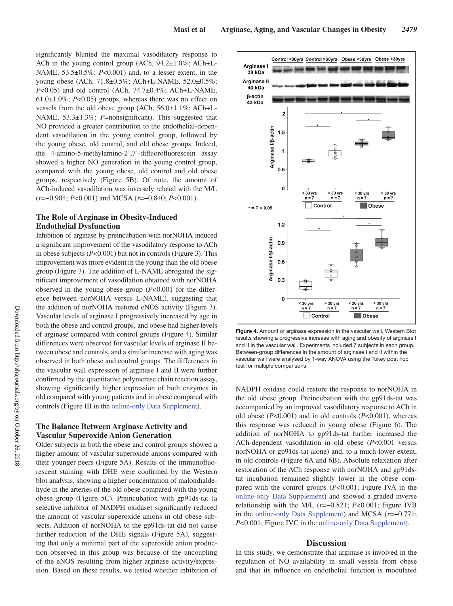significantly blunted the maximal vasodilatory response to ACh in the young control group (ACh, 94.2±1.0%; ACh+L-NAME, 53.5±0.5%; *P*<0.001) and, to a lesser extent, in the young obese (ACh, 71.8±0.5%; ACh+L-NAME, 52.0±0.5%; *P*<0.05) and old control (ACh, 74.7±0.4%; ACh+L-NAME,  $61.0\pm1.0\%$ ; *P<0.05*) groups, whereas there was no effect on vessels from the old obese group (ACh, 56.0±1.1%; ACh+L-NAME, 53.3±1.3%; *P*=nonsignificant). This suggested that NO provided a greater contribution to the endothelial-dependent vasodilation in the young control group, followed by the young obese, old control, and old obese groups. Indeed, the 4-amino-5-methylamino-2',7'-difluorofluorescein assay showed a higher NO generation in the young control group, compared with the young obese, old control and old obese groups, respectively (Figure 5B). Of note, the amount of ACh-induced vasodilation was inversely related with the M/L (*r*=−0.904; *P*<0.001) and MCSA (*r*=−0.840; *P*<0.001).

# **The Role of Arginase in Obesity-Induced Endothelial Dysfunction**

Inhibition of arginase by preincubation with norNOHA induced a significant improvement of the vasodilatory response to ACh in obese subjects (*P*<0.001) but not in controls (Figure 3). This improvement was more evident in the young than the old obese group (Figure 3). The addition of L-NAME abrogated the significant improvement of vasodilation obtained with norNOHA observed in the young obese group (*P*<0.001 for the difference between norNOHA versus L-NAME), suggesting that the addition of norNOHA restored eNOS activity (Figure 3). Vascular levels of arginase I progressively increased by age in both the obese and control groups, and obese had higher levels of arginase compared with control groups (Figure 4). Similar differences were observed for vascular levels of arginase II between obese and controls, and a similar increase with aging was observed in both obese and control groups. The differences in the vascular wall expression of arginase I and II were further confirmed by the quantitative polymerase chain reaction assay, showing significantly higher expression of both enzymes in old compared with young patients and in obese compared with controls (Figure III in the online-only Data Supplement).

# **The Balance Between Arginase Activity and Vascular Superoxide Anion Generation**

Older subjects in both the obese and control groups showed a higher amount of vascular superoxide anions compared with their younger peers (Figure 5A). Results of the immunofluorescent staining with DHE were confirmed by the Western blot analysis, showing a higher concentration of malondialdehyde in the arteries of the old obese compared with the young obese group (Figure 5C). Preincubation with gp91ds-tat (a selective inhibitor of NADPH oxidase) significantly reduced the amount of vascular superoxide anions in old obese subjects. Addition of norNOHA to the gp91ds-tat did not cause further reduction of the DHE signals (Figure 5A), suggesting that only a minimal part of the superoxide anion production observed in this group was because of the uncoupling of the eNOS resulting from higher arginase activity/expression. Based on these results, we tested whether inhibition of



**Figure 4.** Amount of arginase expression in the vascular wall. Western Blot results showing a progressive increase with aging and obesity of arginase I and II in the vascular wall. Experiments included 7 subjects in each group. Between-group differences in the amount of arginase I and II within the vascular wall were analysed by 1-way ANOVA using the Tukey post hoc test for multiple comparisons.

NADPH oxidase could restore the response to norNOHA in the old obese group. Preincubation with the gp91ds-tat was accompanied by an improved vasodilatory response to ACh in old obese (*P*<0.001) and in old controls (*P*<0.001), whereas this response was reduced in young obese (Figure 6). The addition of norNOHA to gp91ds-tat further increased the ACh-dependent vasodilation in old obese (*P*<0.001 versus norNOHA or gp91ds-tat alone) and, to a much lower extent, in old controls (Figure 6A and 6B). Absolute relaxation after restoration of the ACh response with norNOHA and gp91dstat incubation remained slightly lower in the obese compared with the control groups (*P*<0.001; Figure IVA in the online-only Data Supplement) and showed a graded inverse relationship with the M/L (*r*=−0.821; *P*<0.001; Figure IVB in the online-only Data Supplement) and MCSA (*r*=−0.771; *P*<0.001; Figure IVC in the online-only Data Supplement).

## **Discussion**

In this study, we demonstrate that arginase is involved in the regulation of NO availability in small vessels from obese and that its influence on endothelial function is modulated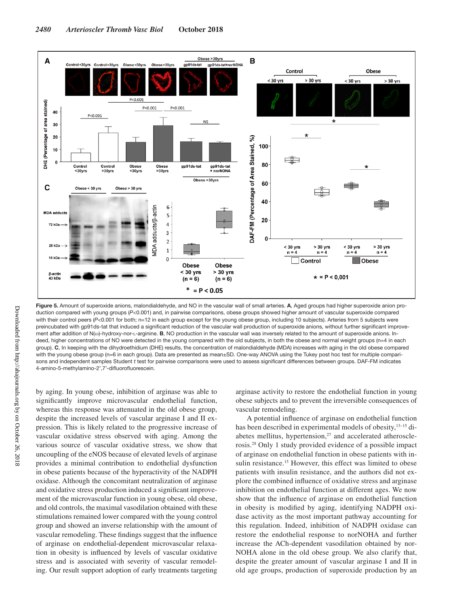

**Figure 5.** Amount of superoxide anions, malondialdehyde, and NO in the vascular wall of small arteries. **A**, Aged groups had higher superoxide anion production compared with young groups (*P*<0.001) and, in pairwise comparisons, obese groups showed higher amount of vascular superoxide compared with their control peers (P<0.001 for both; n=12 in each group except for the young obese group, including 10 subjects). Arteries from 5 subjects were preincubated with gp91ds-tat that induced a significant reduction of the vascular wall production of superoxide anions, without further significant improvement after addition of N(ω)-hydroxy-nor-l-arginine. **B**, NO production in the vascular wall was inversely related to the amount of superoxide anions. Indeed, higher concentrations of NO were detected in the young compared with the old subjects, in both the obese and normal weight groups (n=4 in each group). **C**, In keeping with the dihydroethidium (DHE) results, the concentration of malondialdehyde (MDA) increases with aging in the old obese compared with the young obese group (n=6 in each group). Data are presented as mean±SD. One-way ANOVA using the Tukey post hoc test for multiple comparisons and independent samples Student *t* test for pairwise comparisons were used to assess significant differences between groups. DAF-FM indicates 4-amino-5-methylamino-2',7'-difluorofluorescein.

by aging. In young obese, inhibition of arginase was able to significantly improve microvascular endothelial function, whereas this response was attenuated in the old obese group, despite the increased levels of vascular arginase I and II expression. This is likely related to the progressive increase of vascular oxidative stress observed with aging. Among the various source of vascular oxidative stress, we show that uncoupling of the eNOS because of elevated levels of arginase provides a minimal contribution to endothelial dysfunction in obese patients because of the hyperactivity of the NADPH oxidase. Although the concomitant neutralization of arginase and oxidative stress production induced a significant improvement of the microvascular function in young obese, old obese, and old controls, the maximal vasodilation obtained with these stimulations remained lower compared with the young control group and showed an inverse relationship with the amount of vascular remodeling. These findings suggest that the influence of arginase on endothelial-dependent microvascular relaxation in obesity is influenced by levels of vascular oxidative stress and is associated with severity of vascular remodeling. Our result support adoption of early treatments targeting arginase activity to restore the endothelial function in young obese subjects and to prevent the irreversible consequences of vascular remodeling.

A potential influence of arginase on endothelial function has been described in experimental models of obesity, <sup>13-15</sup> diabetes mellitus, hypertension, $27$  and accelerated atherosclerosis.28 Only 1 study provided evidence of a possible impact of arginase on endothelial function in obese patients with insulin resistance.<sup>15</sup> However, this effect was limited to obese patients with insulin resistance, and the authors did not explore the combined influence of oxidative stress and arginase inhibition on endothelial function at different ages. We now show that the influence of arginase on endothelial function in obesity is modified by aging, identifying NADPH oxidase activity as the most important pathway accounting for this regulation. Indeed, inhibition of NADPH oxidase can restore the endothelial response to norNOHA and further increase the ACh-dependent vasodilation obtained by nor-NOHA alone in the old obese group. We also clarify that, despite the greater amount of vascular arginase I and II in old age groups, production of superoxide production by an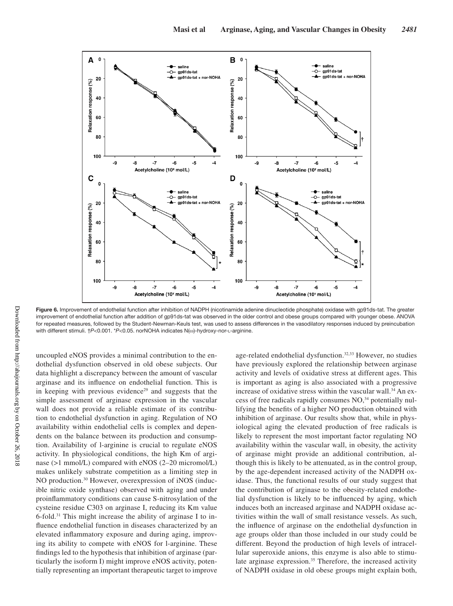

Figure 6. Improvement of endothelial function after inhibition of NADPH (nicotinamide adenine dinucleotide phosphate) oxidase with gp91ds-tat. The greater improvement of endothelial function after addition of gp91ds-tat was observed in the older control and obese groups compared with younger obese. ANOVA for repeated measures, followed by the Student-Newman-Keuls test, was used to assess differences in the vasodilatory responses induced by preincubation with different stimuli.  $\uparrow$ P<0.001. \*P<0.05. norNOHA indicates N(ω)-hydroxy-nor-L-arginine.

uncoupled eNOS provides a minimal contribution to the endothelial dysfunction observed in old obese subjects. Our data highlight a discrepancy between the amount of vascular arginase and its influence on endothelial function. This is in keeping with previous evidence<sup>29</sup> and suggests that the simple assessment of arginase expression in the vascular wall does not provide a reliable estimate of its contribution to endothelial dysfunction in aging. Regulation of NO availability within endothelial cells is complex and dependents on the balance between its production and consumption. Availability of l-arginine is crucial to regulate eNOS activity. In physiological conditions, the high Km of arginase (>1 mmol/L) compared with eNOS (2–20 micromol/L) makes unlikely substrate competition as a limiting step in NO production.<sup>30</sup> However, overexpression of iNOS (inducible nitric oxide synthase) observed with aging and under proinflammatory conditions can cause S-nitrosylation of the cysteine residue C303 on arginase I, reducing its Km value 6-fold.31 This might increase the ability of arginase I to influence endothelial function in diseases characterized by an elevated inflammatory exposure and during aging, improving its ability to compete with eNOS for l-arginine. These findings led to the hypothesis that inhibition of arginase (particularly the isoform I) might improve eNOS activity, potentially representing an important therapeutic target to improve age-related endothelial dysfunction.<sup>32,33</sup> However, no studies have previously explored the relationship between arginase activity and levels of oxidative stress at different ages. This is important as aging is also associated with a progressive increase of oxidative stress within the vascular wall.<sup>34</sup> An excess of free radicals rapidly consumes NO,34 potentially nullifying the benefits of a higher NO production obtained with inhibition of arginase. Our results show that, while in physiological aging the elevated production of free radicals is likely to represent the most important factor regulating NO availability within the vascular wall, in obesity, the activity of arginase might provide an additional contribution, although this is likely to be attenuated, as in the control group, by the age-dependent increased activity of the NADPH oxidase. Thus, the functional results of our study suggest that the contribution of arginase to the obesity-related endothelial dysfunction is likely to be influenced by aging, which induces both an increased arginase and NADPH oxidase activities within the wall of small resistance vessels. As such, the influence of arginase on the endothelial dysfunction in age groups older than those included in our study could be different. Beyond the production of high levels of intracellular superoxide anions, this enzyme is also able to stimulate arginase expression.<sup>35</sup> Therefore, the increased activity of NADPH oxidase in old obese groups might explain both,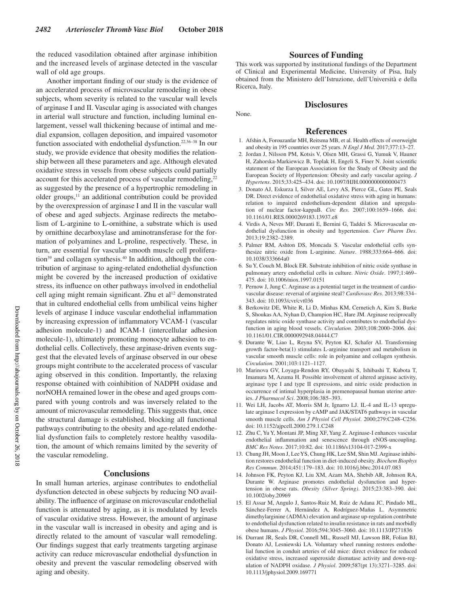the reduced vasodilation obtained after arginase inhibition and the increased levels of arginase detected in the vascular wall of old age groups.

Another important finding of our study is the evidence of an accelerated process of microvascular remodeling in obese subjects, whom severity is related to the vascular wall levels of arginase I and II. Vascular aging is associated with changes in arterial wall structure and function, including luminal enlargement, vessel wall thickening because of intimal and medial expansion, collagen deposition, and impaired vasomotor function associated with endothelial dysfunction.<sup>22,36–38</sup> In our study, we provide evidence that obesity modifies the relationship between all these parameters and age. Although elevated oxidative stress in vessels from obese subjects could partially account for this accelerated process of vascular remodeling,<sup>22</sup> as suggested by the presence of a hypertrophic remodeling in older groups, $11$  an additional contribution could be provided by the overexpression of arginase I and II in the vascular wall of obese and aged subjects. Arginase redirects the metabolism of L-arginine to L-ornithine, a substrate which is used by ornithine decarboxylase and aminotransferase for the formation of polyamines and L-proline, respectively. These, in turn, are essential for vascular smooth muscle cell proliferation<sup>39</sup> and collagen synthesis.<sup>40</sup> In addition, although the contribution of arginase to aging-related endothelial dysfunction might be covered by the increased production of oxidative stress, its influence on other pathways involved in endothelial cell aging might remain significant. Zhu et  $al<sup>12</sup>$  demonstrated that in cultured endothelial cells from umbilical veins higher levels of arginase I induce vascular endothelial inflammation by increasing expression of inflammatory VCAM-1 (vascular adhesion molecule-1) and ICAM-1 (intercellular adhesion molecule-1), ultimately promoting monocyte adhesion to endothelial cells. Collectively, these arginase-driven events suggest that the elevated levels of arginase observed in our obese groups might contribute to the accelerated process of vascular aging observed in this condition. Importantly, the relaxing response obtained with coinhibition of NADPH oxidase and norNOHA remained lower in the obese and aged groups compared with young controls and was inversely related to the amount of microvascular remodeling. This suggests that, once the structural damage is established, blocking all functional pathways contributing to the obesity and age-related endothelial dysfunction fails to completely restore healthy vasodilation, the amount of which remains limited by the severity of the vascular remodeling.

## **Conclusions**

In small human arteries, arginase contributes to endothelial dysfunction detected in obese subjects by reducing NO availability. The influence of arginase on microvascular endothelial function is attenuated by aging, as it is modulated by levels of vascular oxidative stress. However, the amount of arginase in the vascular wall is increased in obesity and aging and is directly related to the amount of vascular wall remodeling. Our findings suggest that early treatments targeting arginase activity can reduce microvascular endothelial dysfunction in obesity and prevent the vascular remodeling observed with aging and obesity.

## **Sources of Funding**

This work was supported by institutional fundings of the Department of Clinical and Experimental Medicine, University of Pisa, Italy obtained from the Ministero dell'Istruzione, dell'Università e della Ricerca, Italy.

## **Disclosures**

None.

## **References**

- 1. Afshin A, Forouzanfar MH, Reitsma MB, et al. Health effects of overweight and obesity in 195 countries over 25 years. *N Engl J Med*. 2017;377:13–27.
- 2. Jordan J, Nilsson PM, Kotsis V, Olsen MH, Grassi G, Yumuk V, Hauner H, Zahorska-Markiewicz B, Toplak H, Engeli S, Finer N. Joint scientific statement of the European Association for the Study of Obesity and the European Society of Hypertension: Obesity and early vascular ageing. *J Hypertens*. 2015;33:425–434. doi: 10.1097/HJH.0000000000000473
- 3. Donato AJ, Eskurza I, Silver AE, Levy AS, Pierce GL, Gates PE, Seals DR. Direct evidence of endothelial oxidative stress with aging in humans: relation to impaired endothelium-dependent dilation and upregulation of nuclear factor-kappaB. *Circ Res*. 2007;100:1659–1666. doi: 10.1161/01.RES.0000269183.13937.e8
- 4. Virdis A, Neves MF, Duranti E, Bernini G, Taddei S. Microvascular endothelial dysfunction in obesity and hypertension. *Curr Pharm Des*. 2013;19:2382–2389.
- 5. Palmer RM, Ashton DS, Moncada S. Vascular endothelial cells synthesize nitric oxide from L-arginine. *Nature*. 1988;333:664–666. doi: 10.1038/333664a0
- 6. Su Y, Couch M, Block ER. Substrate inhibition of nitric oxide synthase in pulmonary artery endothelial cells in culture. *Nitric Oxide*. 1997;1:469– 475. doi: 10.1006/niox.1997.0151
- 7. Pernow J, Jung C. Arginase as a potential target in the treatment of cardiovascular disease: reversal of arginine steal? *Cardiovasc Res*. 2013;98:334– 343. doi: 10.1093/cvr/cvt036
- 8. Berkowitz DE, White R, Li D, Minhas KM, Cernetich A, Kim S, Burke S, Shoukas AA, Nyhan D, Champion HC, Hare JM. Arginase reciprocally regulates nitric oxide synthase activity and contributes to endothelial dysfunction in aging blood vessels. *Circulation*. 2003;108:2000–2006. doi: 10.1161/01.CIR.0000092948.04444.C7
- 9. Durante W, Liao L, Reyna SV, Peyton KJ, Schafer AI. Transforming growth factor-beta(1) stimulates L-arginine transport and metabolism in vascular smooth muscle cells: role in polyamine and collagen synthesis. *Circulation*. 2001;103:1121–1127.
- 10. Marinova GV, Loyaga-Rendon RY, Obayashi S, Ishibashi T, Kubota T, Imamura M, Azuma H. Possible involvement of altered arginase activity, arginase type I and type II expressions, and nitric oxide production in occurrence of intimal hyperplasia in premenopausal human uterine arteries. *J Pharmacol Sci*. 2008;106:385–393.
- 11. Wei LH, Jacobs AT, Morris SM Jr, Ignarro LJ. IL-4 and IL-13 upregulate arginase I expression by cAMP and JAK/STAT6 pathways in vascular smooth muscle cells. *Am J Physiol Cell Physiol*. 2000;279:C248–C256. doi: 10.1152/ajpcell.2000.279.1.C248
- 12. Zhu C, Yu Y, Montani JP, Ming XF, Yang Z. Arginase-I enhances vascular endothelial inflammation and senescence through eNOS-uncoupling. *BMC Res Notes*. 2017;10:82. doi: 10.1186/s13104-017-2399-x
- 13. Chung JH, Moon J, Lee YS, Chung HK, Lee SM, Shin MJ. Arginase inhibition restores endothelial function in diet-induced obesity. *Biochem Biophys Res Commun*. 2014;451:179–183. doi: 10.1016/j.bbrc.2014.07.083
- 14. Johnson FK, Peyton KJ, Liu XM, Azam MA, Shebib AR, Johnson RA, Durante W. Arginase promotes endothelial dysfunction and hypertension in obese rats. *Obesity (Silver Spring)*. 2015;23:383–390. doi: 10.1002/oby.20969
- 15. El Assar M, Angulo J, Santos-Ruiz M, Ruiz de Adana JC, Pindado ML, Sánchez-Ferrer A, Hernández A, Rodríguez-Mañas L. Asymmetric dimethylarginine (ADMA) elevation and arginase up-regulation contribute to endothelial dysfunction related to insulin resistance in rats and morbidly obese humans. *J Physiol*. 2016;594:3045–3060. doi: 10.1113/JP271836
- 16. Durrant JR, Seals DR, Connell ML, Russell MJ, Lawson BR, Folian BJ, Donato AJ, Lesniewski LA. Voluntary wheel running restores endothelial function in conduit arteries of old mice: direct evidence for reduced oxidative stress, increased superoxide dismutase activity and down-regulation of NADPH oxidase. *J Physiol*. 2009;587(pt 13):3271–3285. doi: 10.1113/jphysiol.2009.169771